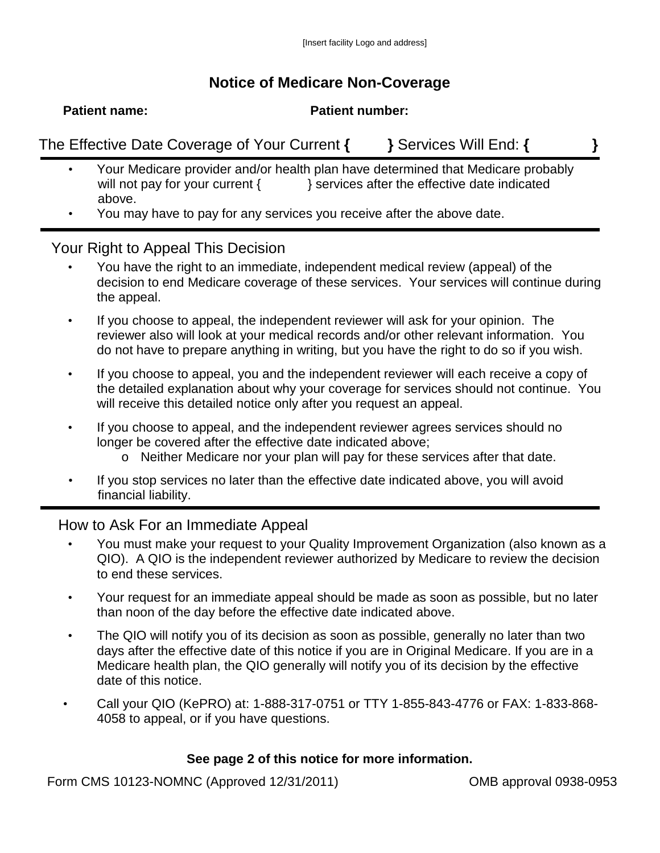## **Notice of Medicare Non-Coverage**

**Patient name: Patient number:**

The Effective Date Coverage of Your Current **{ }** Services Will End: **{ }**

- Your Medicare provider and/or health plan have determined that Medicare probably will not pay for your current {  $\{$  } services after the effective date indicated above.
- You may have to pay for any services you receive after the above date.

## Your Right to Appeal This Decision

- You have the right to an immediate, independent medical review (appeal) of the decision to end Medicare coverage of these services. Your services will continue during the appeal.
- If you choose to appeal, the independent reviewer will ask for your opinion. The reviewer also will look at your medical records and/or other relevant information. You do not have to prepare anything in writing, but you have the right to do so if you wish.
- If you choose to appeal, you and the independent reviewer will each receive a copy of the detailed explanation about why your coverage for services should not continue. You will receive this detailed notice only after you request an appeal.
- If you choose to appeal, and the independent reviewer agrees services should no longer be covered after the effective date indicated above;
	- o Neither Medicare nor your plan will pay for these services after that date.
- If you stop services no later than the effective date indicated above, you will avoid financial liability.

## How to Ask For an Immediate Appeal

- You must make your request to your Quality Improvement Organization (also known as a QIO). A QIO is the independent reviewer authorized by Medicare to review the decision to end these services.
- Your request for an immediate appeal should be made as soon as possible, but no later than noon of the day before the effective date indicated above.
- The QIO will notify you of its decision as soon as possible, generally no later than two days after the effective date of this notice if you are in Original Medicare. If you are in a Medicare health plan, the QIO generally will notify you of its decision by the effective date of this notice.
- Call your QIO (KePRO) at: 1-888-317-0751 or TTY 1-855-843-4776 or FAX: 1-833-868- 4058 to appeal, or if you have questions.

## **See page 2 of this notice for more information.**

Form CMS 10123-NOMNC (Approved 12/31/2011) OMB approval 0938-0953